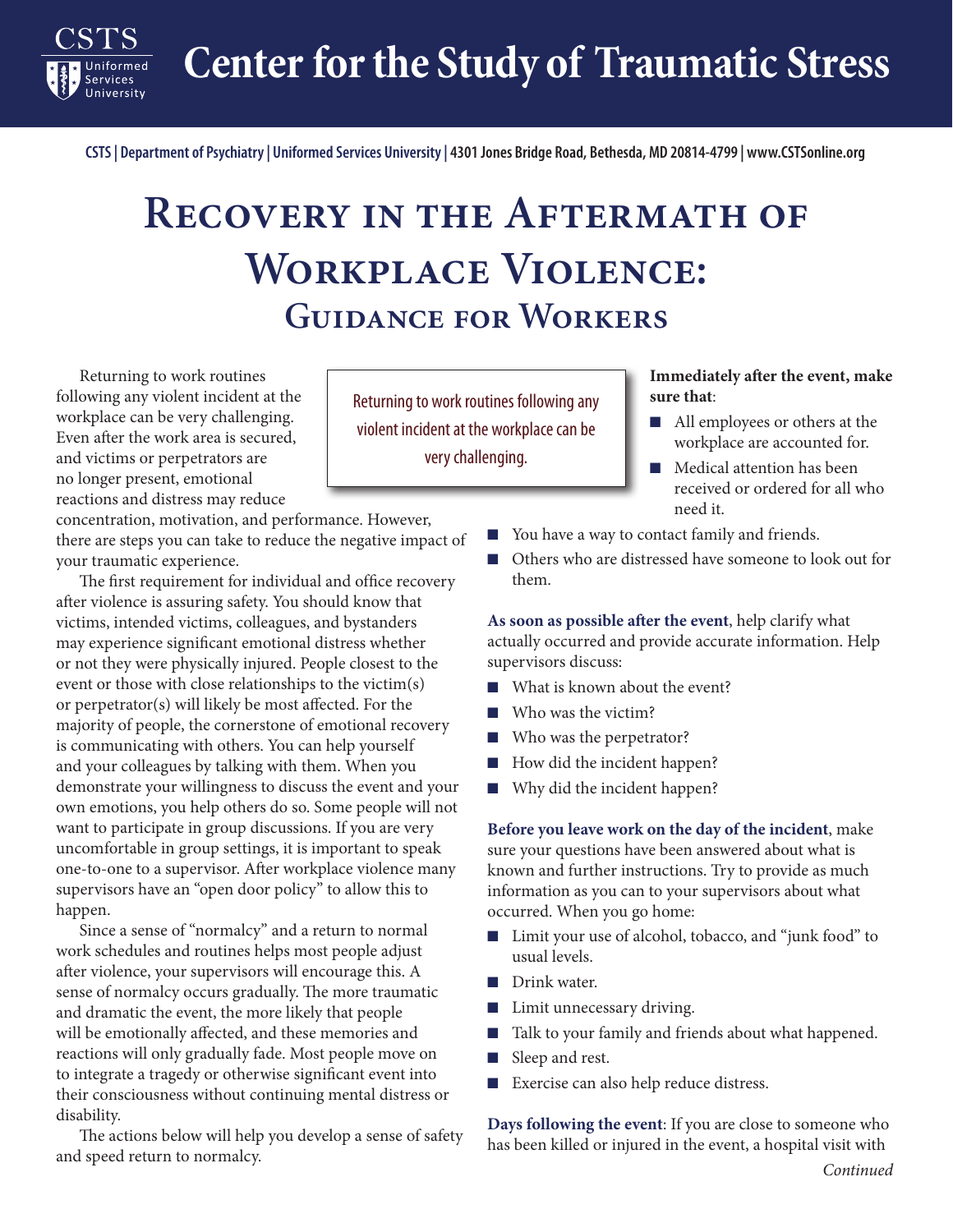**Center for the Study of Traumatic Stress**

**CSTS | Department of Psychiatry | Uniformed Services University | 4301 Jones Bridge Road, Bethesda, MD 20814-4799 | www.CSTSonline.org**

## **Recovery in the Aftermath of Workplace Violence: Guidance for Workers**

Returning to work routines following any violent incident at the workplace can be very challenging. Even after the work area is secured, and victims or perpetrators are no longer present, emotional reactions and distress may reduce

**Services** 

concentration, motivation, and performance. However, there are steps you can take to reduce the negative impact of your traumatic experience.

The first requirement for individual and office recovery after violence is assuring safety. You should know that victims, intended victims, colleagues, and bystanders may experience significant emotional distress whether or not they were physically injured. People closest to the event or those with close relationships to the victim(s) or perpetrator(s) will likely be most affected. For the majority of people, the cornerstone of emotional recovery is communicating with others. You can help yourself and your colleagues by talking with them. When you demonstrate your willingness to discuss the event and your own emotions, you help others do so. Some people will not want to participate in group discussions. If you are very uncomfortable in group settings, it is important to speak one-to-one to a supervisor. After workplace violence many supervisors have an "open door policy" to allow this to happen.

Since a sense of "normalcy" and a return to normal work schedules and routines helps most people adjust after violence, your supervisors will encourage this. A sense of normalcy occurs gradually. The more traumatic and dramatic the event, the more likely that people will be emotionally affected, and these memories and reactions will only gradually fade. Most people move on to integrate a tragedy or otherwise significant event into their consciousness without continuing mental distress or disability.

The actions below will help you develop a sense of safety and speed return to normalcy.

Returning to work routines following any violent incident at the workplace can be very challenging.

## **Immediately after the event, make sure that**:

- All employees or others at the workplace are accounted for.
- Medical attention has been received or ordered for all who need it.
- You have a way to contact family and friends.
- Others who are distressed have someone to look out for them.

**As soon as possible after the event**, help clarify what actually occurred and provide accurate information. Help supervisors discuss:

- What is known about the event?
- Who was the victim?
- Who was the perpetrator?
- How did the incident happen?
- Why did the incident happen?

**Before you leave work on the day of the incident**, make sure your questions have been answered about what is known and further instructions. Try to provide as much information as you can to your supervisors about what occurred. When you go home:

- Limit your use of alcohol, tobacco, and "junk food" to usual levels.
- Drink water.
- Limit unnecessary driving.
- Talk to your family and friends about what happened.
- Sleep and rest.
- Exercise can also help reduce distress.

**Days following the event**: If you are close to someone who has been killed or injured in the event, a hospital visit with